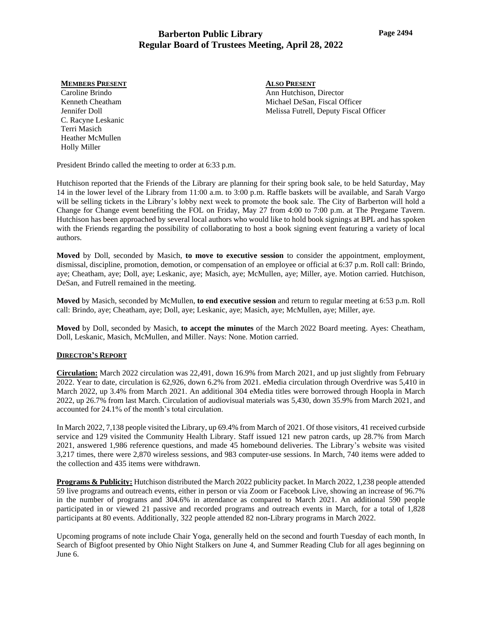#### **MEMBERS PRESENT**

Caroline Brindo Kenneth Cheatham Jennifer Doll C. Racyne Leskanic Terri Masich Heather McMullen Holly Miller

**ALSO PRESENT** Ann Hutchison, Director Michael DeSan, Fiscal Officer Melissa Futrell, Deputy Fiscal Officer

President Brindo called the meeting to order at 6:33 p.m.

Hutchison reported that the Friends of the Library are planning for their spring book sale, to be held Saturday, May 14 in the lower level of the Library from 11:00 a.m. to 3:00 p.m. Raffle baskets will be available, and Sarah Vargo will be selling tickets in the Library's lobby next week to promote the book sale. The City of Barberton will hold a Change for Change event benefiting the FOL on Friday, May 27 from 4:00 to 7:00 p.m. at The Pregame Tavern. Hutchison has been approached by several local authors who would like to hold book signings at BPL and has spoken with the Friends regarding the possibility of collaborating to host a book signing event featuring a variety of local authors.

**Moved** by Doll, seconded by Masich, **to move to executive session** to consider the appointment, employment, dismissal, discipline, promotion, demotion, or compensation of an employee or official at 6:37 p.m. Roll call: Brindo, aye; Cheatham, aye; Doll, aye; Leskanic, aye; Masich, aye; McMullen, aye; Miller, aye. Motion carried. Hutchison, DeSan, and Futrell remained in the meeting.

**Moved** by Masich, seconded by McMullen, **to end executive session** and return to regular meeting at 6:53 p.m. Roll call: Brindo, aye; Cheatham, aye; Doll, aye; Leskanic, aye; Masich, aye; McMullen, aye; Miller, aye.

**Moved** by Doll, seconded by Masich, **to accept the minutes** of the March 2022 Board meeting. Ayes: Cheatham, Doll, Leskanic, Masich, McMullen, and Miller. Nays: None. Motion carried.

### **DIRECTOR'S REPORT**

**Circulation:** March 2022 circulation was 22,491, down 16.9% from March 2021, and up just slightly from February 2022. Year to date, circulation is 62,926, down 6.2% from 2021. eMedia circulation through Overdrive was 5,410 in March 2022, up 3.4% from March 2021. An additional 304 eMedia titles were borrowed through Hoopla in March 2022, up 26.7% from last March. Circulation of audiovisual materials was 5,430, down 35.9% from March 2021, and accounted for 24.1% of the month's total circulation.

In March 2022, 7,138 people visited the Library, up 69.4% from March of 2021. Of those visitors, 41 received curbside service and 129 visited the Community Health Library. Staff issued 121 new patron cards, up 28.7% from March 2021, answered 1,986 reference questions, and made 45 homebound deliveries. The Library's website was visited 3,217 times, there were 2,870 wireless sessions, and 983 computer-use sessions. In March, 740 items were added to the collection and 435 items were withdrawn.

**Programs & Publicity:** Hutchison distributed the March 2022 publicity packet. In March 2022, 1,238 people attended 59 live programs and outreach events, either in person or via Zoom or Facebook Live, showing an increase of 96.7% in the number of programs and 304.6% in attendance as compared to March 2021. An additional 590 people participated in or viewed 21 passive and recorded programs and outreach events in March, for a total of 1,828 participants at 80 events. Additionally, 322 people attended 82 non-Library programs in March 2022.

Upcoming programs of note include Chair Yoga, generally held on the second and fourth Tuesday of each month, In Search of Bigfoot presented by Ohio Night Stalkers on June 4, and Summer Reading Club for all ages beginning on June 6.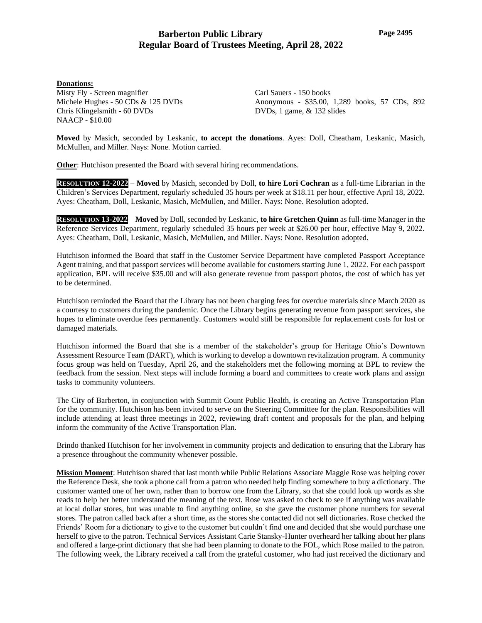## **Donations:**

Misty Fly - Screen magnifier Michele Hughes - 50 CDs & 125 DVDs Chris Klingelsmith - 60 DVDs NAACP - \$10.00

Carl Sauers - 150 books Anonymous - \$35.00, 1,289 books, 57 CDs, 892 DVDs, 1 game, & 132 slides

**Moved** by Masich, seconded by Leskanic, **to accept the donations**. Ayes: Doll, Cheatham, Leskanic, Masich, McMullen, and Miller. Nays: None. Motion carried.

**Other:** Hutchison presented the Board with several hiring recommendations.

**RESOLUTION 12-2022** – **Moved** by Masich, seconded by Doll, **to hire Lori Cochran** as a full-time Librarian in the Children's Services Department, regularly scheduled 35 hours per week at \$18.11 per hour, effective April 18, 2022. Ayes: Cheatham, Doll, Leskanic, Masich, McMullen, and Miller. Nays: None. Resolution adopted.

**RESOLUTION 13-2022** – **Moved** by Doll, seconded by Leskanic, **to hire Gretchen Quinn** as full-time Manager in the Reference Services Department, regularly scheduled 35 hours per week at \$26.00 per hour, effective May 9, 2022. Ayes: Cheatham, Doll, Leskanic, Masich, McMullen, and Miller. Nays: None. Resolution adopted.

Hutchison informed the Board that staff in the Customer Service Department have completed Passport Acceptance Agent training, and that passport services will become available for customers starting June 1, 2022. For each passport application, BPL will receive \$35.00 and will also generate revenue from passport photos, the cost of which has yet to be determined.

Hutchison reminded the Board that the Library has not been charging fees for overdue materials since March 2020 as a courtesy to customers during the pandemic. Once the Library begins generating revenue from passport services, she hopes to eliminate overdue fees permanently. Customers would still be responsible for replacement costs for lost or damaged materials.

Hutchison informed the Board that she is a member of the stakeholder's group for Heritage Ohio's Downtown Assessment Resource Team (DART), which is working to develop a downtown revitalization program. A community focus group was held on Tuesday, April 26, and the stakeholders met the following morning at BPL to review the feedback from the session. Next steps will include forming a board and committees to create work plans and assign tasks to community volunteers.

The City of Barberton, in conjunction with Summit Count Public Health, is creating an Active Transportation Plan for the community. Hutchison has been invited to serve on the Steering Committee for the plan. Responsibilities will include attending at least three meetings in 2022, reviewing draft content and proposals for the plan, and helping inform the community of the Active Transportation Plan.

Brindo thanked Hutchison for her involvement in community projects and dedication to ensuring that the Library has a presence throughout the community whenever possible.

**Mission Moment**: Hutchison shared that last month while Public Relations Associate Maggie Rose was helping cover the Reference Desk, she took a phone call from a patron who needed help finding somewhere to buy a dictionary. The customer wanted one of her own, rather than to borrow one from the Library, so that she could look up words as she reads to help her better understand the meaning of the text. Rose was asked to check to see if anything was available at local dollar stores, but was unable to find anything online, so she gave the customer phone numbers for several stores. The patron called back after a short time, as the stores she contacted did not sell dictionaries. Rose checked the Friends' Room for a dictionary to give to the customer but couldn't find one and decided that she would purchase one herself to give to the patron. Technical Services Assistant Carie Stansky-Hunter overheard her talking about her plans and offered a large-print dictionary that she had been planning to donate to the FOL, which Rose mailed to the patron. The following week, the Library received a call from the grateful customer, who had just received the dictionary and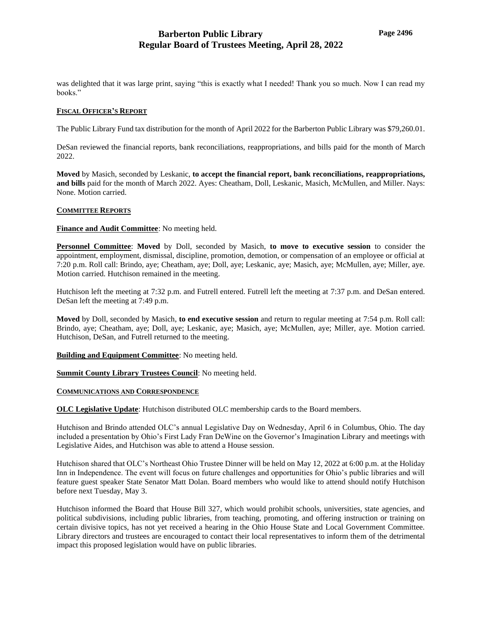was delighted that it was large print, saying "this is exactly what I needed! Thank you so much. Now I can read my books."

### **FISCAL OFFICER'S REPORT**

The Public Library Fund tax distribution for the month of April 2022 for the Barberton Public Library was \$79,260.01.

DeSan reviewed the financial reports, bank reconciliations, reappropriations, and bills paid for the month of March 2022.

**Moved** by Masich, seconded by Leskanic, **to accept the financial report, bank reconciliations, reappropriations, and bills** paid for the month of March 2022. Ayes: Cheatham, Doll, Leskanic, Masich, McMullen, and Miller. Nays: None. Motion carried.

### **COMMITTEE REPORTS**

### **Finance and Audit Committee**: No meeting held.

**Personnel Committee**: **Moved** by Doll, seconded by Masich, **to move to executive session** to consider the appointment, employment, dismissal, discipline, promotion, demotion, or compensation of an employee or official at 7:20 p.m. Roll call: Brindo, aye; Cheatham, aye; Doll, aye; Leskanic, aye; Masich, aye; McMullen, aye; Miller, aye. Motion carried. Hutchison remained in the meeting.

Hutchison left the meeting at 7:32 p.m. and Futrell entered. Futrell left the meeting at 7:37 p.m. and DeSan entered. DeSan left the meeting at 7:49 p.m.

**Moved** by Doll, seconded by Masich, **to end executive session** and return to regular meeting at 7:54 p.m. Roll call: Brindo, aye; Cheatham, aye; Doll, aye; Leskanic, aye; Masich, aye; McMullen, aye; Miller, aye. Motion carried. Hutchison, DeSan, and Futrell returned to the meeting.

**Building and Equipment Committee**: No meeting held.

**Summit County Library Trustees Council**: No meeting held.

### **COMMUNICATIONS AND CORRESPONDENCE**

**OLC Legislative Update:** Hutchison distributed OLC membership cards to the Board members.

Hutchison and Brindo attended OLC's annual Legislative Day on Wednesday, April 6 in Columbus, Ohio. The day included a presentation by Ohio's First Lady Fran DeWine on the Governor's Imagination Library and meetings with Legislative Aides, and Hutchison was able to attend a House session.

Hutchison shared that OLC's Northeast Ohio Trustee Dinner will be held on May 12, 2022 at 6:00 p.m. at the Holiday Inn in Independence. The event will focus on future challenges and opportunities for Ohio's public libraries and will feature guest speaker State Senator Matt Dolan. Board members who would like to attend should notify Hutchison before next Tuesday, May 3.

Hutchison informed the Board that House Bill 327, which would prohibit schools, universities, state agencies, and political subdivisions, including public libraries, from teaching, promoting, and offering instruction or training on certain divisive topics, has not yet received a hearing in the Ohio House State and Local Government Committee. Library directors and trustees are encouraged to contact their local representatives to inform them of the detrimental impact this proposed legislation would have on public libraries.